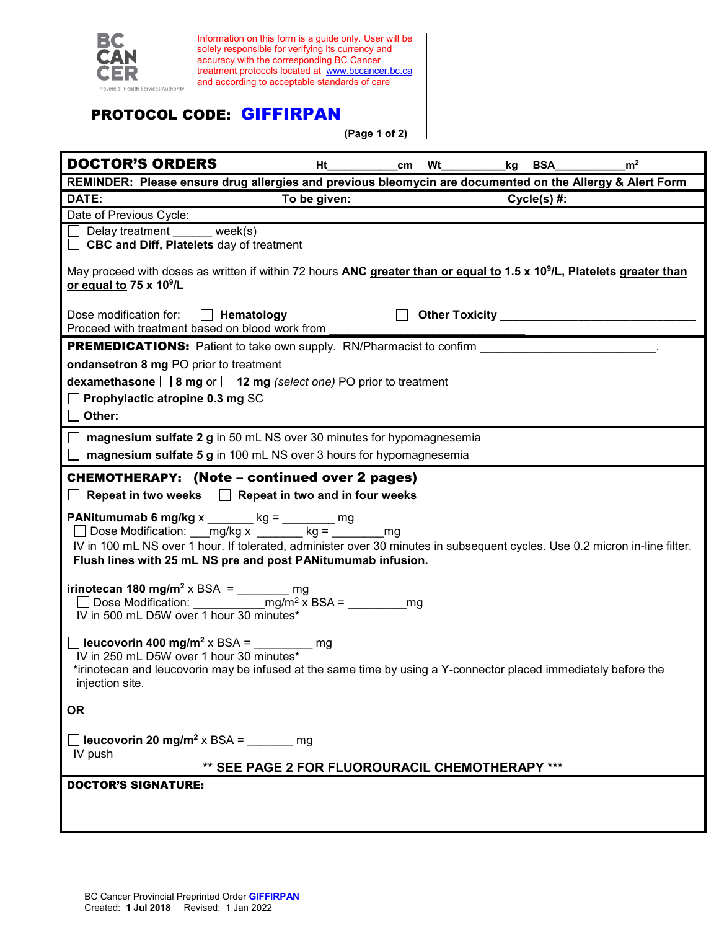

Information on this form is a guide only. User will be solely responsible for verifying its currency and accuracy with the corresponding BC Cancer treatment protocols located at [www.bccancer.bc.ca](http://www.bccancer.bc.ca/) and according to acceptable standards of care

## PROTOCOL CODE: GIFFIRPAN

**(Page 1 of 2)**

| <b>DOCTOR'S ORDERS</b>                                                                                                                                                                                                                                                                                  | Ht                                              | cm Wt | kg BSA        | m <sup>2</sup> |  |
|---------------------------------------------------------------------------------------------------------------------------------------------------------------------------------------------------------------------------------------------------------------------------------------------------------|-------------------------------------------------|-------|---------------|----------------|--|
| REMINDER: Please ensure drug allergies and previous bleomycin are documented on the Allergy & Alert Form                                                                                                                                                                                                |                                                 |       |               |                |  |
| DATE:                                                                                                                                                                                                                                                                                                   | To be given:                                    |       | $Cycle(s)$ #: |                |  |
| Date of Previous Cycle:                                                                                                                                                                                                                                                                                 |                                                 |       |               |                |  |
| $\Box$ Delay treatment week(s)<br><b>CBC and Diff, Platelets day of treatment</b>                                                                                                                                                                                                                       |                                                 |       |               |                |  |
| May proceed with doses as written if within 72 hours ANC greater than or equal to 1.5 x 10 <sup>9</sup> /L, Platelets greater than<br>or equal to 75 x 10 <sup>9</sup> /L                                                                                                                               |                                                 |       |               |                |  |
| Dose modification for: $\Box$ Hematology<br>Proceed with treatment based on blood work from                                                                                                                                                                                                             |                                                 |       |               |                |  |
|                                                                                                                                                                                                                                                                                                         |                                                 |       |               |                |  |
| ondansetron 8 mg PO prior to treatment                                                                                                                                                                                                                                                                  |                                                 |       |               |                |  |
| dexamethasone $\Box$ 8 mg or $\Box$ 12 mg (select one) PO prior to treatment                                                                                                                                                                                                                            |                                                 |       |               |                |  |
| $\Box$ Prophylactic atropine 0.3 mg SC                                                                                                                                                                                                                                                                  |                                                 |       |               |                |  |
| $\Box$ Other:                                                                                                                                                                                                                                                                                           |                                                 |       |               |                |  |
| $\Box$ magnesium sulfate 2 g in 50 mL NS over 30 minutes for hypomagnesemia<br>$\Box$ magnesium sulfate 5 g in 100 mL NS over 3 hours for hypomagnesemia                                                                                                                                                |                                                 |       |               |                |  |
|                                                                                                                                                                                                                                                                                                         |                                                 |       |               |                |  |
| <b>CHEMOTHERAPY:</b> (Note – continued over 2 pages)<br>$\Box$ Repeat in two weeks $\Box$ Repeat in two and in four weeks                                                                                                                                                                               |                                                 |       |               |                |  |
| <b>PANitumumab 6 mg/kg</b> x _______ kg = _______ mg<br>Dose Modification: mg/kg x ______ kg = _______ mg<br>IV in 100 mL NS over 1 hour. If tolerated, administer over 30 minutes in subsequent cycles. Use 0.2 micron in-line filter.<br>Flush lines with 25 mL NS pre and post PANitumumab infusion. |                                                 |       |               |                |  |
| irinotecan 180 mg/m <sup>2</sup> x BSA = $\frac{1}{2}$ mg<br>IV in 500 mL D5W over 1 hour 30 minutes*                                                                                                                                                                                                   |                                                 |       |               |                |  |
| $\Box$ leucovorin 400 mg/m <sup>2</sup> x BSA = ________ mg<br>IV in 250 mL D5W over 1 hour 30 minutes*<br>*irinotecan and leucovorin may be infused at the same time by using a Y-connector placed immediately before the<br>injection site.                                                           |                                                 |       |               |                |  |
| <b>OR</b>                                                                                                                                                                                                                                                                                               |                                                 |       |               |                |  |
| <b>D</b> leucovorin 20 mg/m <sup>2</sup> x BSA = $\qquad$ mg<br>IV push                                                                                                                                                                                                                                 |                                                 |       |               |                |  |
|                                                                                                                                                                                                                                                                                                         | ** SEE PAGE 2 FOR FLUOROURACIL CHEMOTHERAPY *** |       |               |                |  |
| <b>DOCTOR'S SIGNATURE:</b>                                                                                                                                                                                                                                                                              |                                                 |       |               |                |  |
|                                                                                                                                                                                                                                                                                                         |                                                 |       |               |                |  |